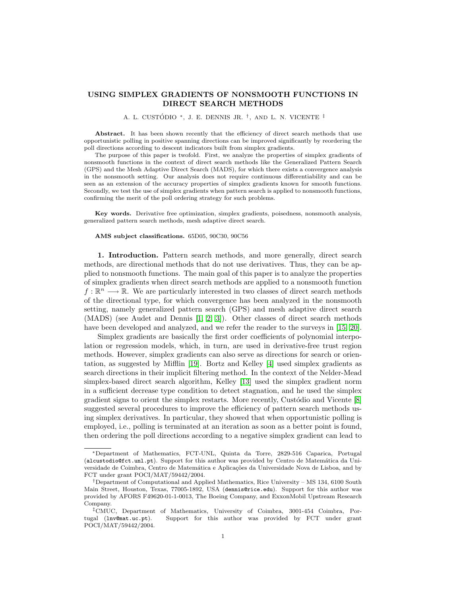## USING SIMPLEX GRADIENTS OF NONSMOOTH FUNCTIONS IN DIRECT SEARCH METHODS

A. L. CUSTÓDIO <sup>∗</sup>, J. E. DENNIS JR. <sup>†</sup>, AND L. N. VICENTE <sup>‡</sup>

Abstract. It has been shown recently that the efficiency of direct search methods that use opportunistic polling in positive spanning directions can be improved significantly by reordering the poll directions according to descent indicators built from simplex gradients.

The purpose of this paper is twofold. First, we analyze the properties of simplex gradients of nonsmooth functions in the context of direct search methods like the Generalized Pattern Search (GPS) and the Mesh Adaptive Direct Search (MADS), for which there exists a convergence analysis in the nonsmooth setting. Our analysis does not require continuous differentiability and can be seen as an extension of the accuracy properties of simplex gradients known for smooth functions. Secondly, we test the use of simplex gradients when pattern search is applied to nonsmooth functions, confirming the merit of the poll ordering strategy for such problems.

Key words. Derivative free optimization, simplex gradients, poisedness, nonsmooth analysis, generalized pattern search methods, mesh adaptive direct search.

## AMS subject classifications. 65D05, 90C30, 90C56

1. Introduction. Pattern search methods, and more generally, direct search methods, are directional methods that do not use derivatives. Thus, they can be applied to nonsmooth functions. The main goal of this paper is to analyze the properties of simplex gradients when direct search methods are applied to a nonsmooth function  $f: \mathbb{R}^n \longrightarrow \mathbb{R}$ . We are particularly interested in two classes of direct search methods of the directional type, for which convergence has been analyzed in the nonsmooth setting, namely generalized pattern search (GPS) and mesh adaptive direct search (MADS) (see Audet and Dennis [\[1,](#page-13-0) [2,](#page-13-1) [3\]](#page-13-2)). Other classes of direct search methods have been developed and analyzed, and we refer the reader to the surveys in [\[15,](#page-13-3) [20\]](#page-13-4).

Simplex gradients are basically the first order coefficients of polynomial interpolation or regression models, which, in turn, are used in derivative-free trust region methods. However, simplex gradients can also serve as directions for search or orientation, as suggested by Mifflin [\[19\]](#page-13-5). Bortz and Kelley [\[4\]](#page-13-6) used simplex gradients as search directions in their implicit filtering method. In the context of the Nelder-Mead simplex-based direct search algorithm, Kelley [\[13\]](#page-13-7) used the simplex gradient norm in a sufficient decrease type condition to detect stagnation, and he used the simplex gradient signs to orient the simplex restarts. More recently, Custocia and Vicente  $[8]$ suggested several procedures to improve the efficiency of pattern search methods using simplex derivatives. In particular, they showed that when opportunistic polling is employed, i.e., polling is terminated at an iteration as soon as a better point is found, then ordering the poll directions according to a negative simplex gradient can lead to

<sup>∗</sup>Department of Mathematics, FCT-UNL, Quinta da Torre, 2829-516 Caparica, Portugal (alcustodio@fct.unl.pt). Support for this author was provided by Centro de Matemática da Universidade de Coimbra, Centro de Matemática e Aplicações da Universidade Nova de Lisboa, and by FCT under grant POCI/MAT/59442/2004.

<sup>†</sup>Department of Computational and Applied Mathematics, Rice University – MS 134, 6100 South Main Street, Houston, Texas, 77005-1892, USA (dennis@rice.edu). Support for this author was provided by AFORS F49620-01-1-0013, The Boeing Company, and ExxonMobil Upstream Research Company.

<sup>‡</sup>CMUC, Department of Mathematics, University of Coimbra, 3001-454 Coimbra, Portugal (lnv@mat.uc.pt). Support for this author was provided by FCT under grant POCI/MAT/59442/2004.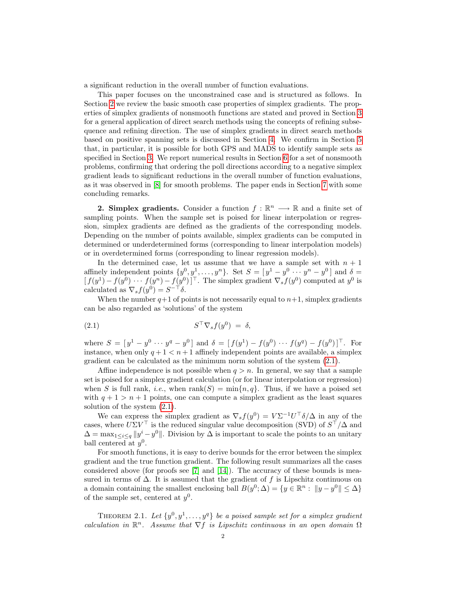a significant reduction in the overall number of function evaluations.

This paper focuses on the unconstrained case and is structured as follows. In Section [2](#page-1-0) we review the basic smooth case properties of simplex gradients. The properties of simplex gradients of nonsmooth functions are stated and proved in Section [3](#page-2-0) for a general application of direct search methods using the concepts of refining subsequence and refining direction. The use of simplex gradients in direct search methods based on positive spanning sets is discussed in Section [4.](#page-8-0) We confirm in Section [5](#page-10-0) that, in particular, it is possible for both GPS and MADS to identify sample sets as specified in Section [3.](#page-2-0) We report numerical results in Section [6](#page-11-0) for a set of nonsmooth problems, confirming that ordering the poll directions according to a negative simplex gradient leads to significant reductions in the overall number of function evaluations, as it was observed in [\[8\]](#page-13-8) for smooth problems. The paper ends in Section [7](#page-12-0) with some concluding remarks.

<span id="page-1-0"></span>**2. Simplex gradients.** Consider a function  $f : \mathbb{R}^n \longrightarrow \mathbb{R}$  and a finite set of sampling points. When the sample set is poised for linear interpolation or regression, simplex gradients are defined as the gradients of the corresponding models. Depending on the number of points available, simplex gradients can be computed in determined or underdetermined forms (corresponding to linear interpolation models) or in overdetermined forms (corresponding to linear regression models).

In the determined case, let us assume that we have a sample set with  $n + 1$ affinely independent points  $\{y^0, y^1, \ldots, y^n\}$ . Set  $S = [y^1 - y^0 \cdots y^n - y^0]$  and  $\delta =$  $[f(y^1) - f(y^0) \cdots f(y^n) - f(y^0)]^{\top}$ . The simplex gradient  $\nabla_s f(y^0)$  computed at  $y^0$  is calculated as  $\nabla_s f(y^0) = S^{-\top} \delta$ .

When the number  $q+1$  of points is not necessarily equal to  $n+1$ , simplex gradients can be also regarded as 'solutions' of the system

<span id="page-1-1"></span>
$$
(2.1) \t\t ST \nabla_s f(y^0) = \delta,
$$

where  $S = [y^1 - y^0 \cdots y^q - y^0]$  and  $\delta = [f(y^1) - f(y^0) \cdots f(y^q) - f(y^0)]^{\top}$ . For instance, when only  $q + 1 < n + 1$  affinely independent points are available, a simplex gradient can be calculated as the minimum norm solution of the system [\(2.1\)](#page-1-1).

Affine independence is not possible when  $q > n$ . In general, we say that a sample set is poised for a simplex gradient calculation (or for linear interpolation or regression) when S is full rank, *i.e.*, when  $rank(S) = min\{n, q\}$ . Thus, if we have a poised set with  $q + 1 > n + 1$  points, one can compute a simplex gradient as the least squares solution of the system [\(2.1\)](#page-1-1).

We can express the simplex gradient as  $\nabla_s f(y^0) = V \Sigma^{-1} U^\top \delta / \Delta$  in any of the cases, where  $U\Sigma V^{\top}$  is the reduced singular value decomposition (SVD) of  $S^{\top}/\Delta$  and  $\Delta = \max_{1 \leq i \leq q} ||y^i - y^0||$ . Division by  $\Delta$  is important to scale the points to an unitary ball centered at  $y^0$ .

For smooth functions, it is easy to derive bounds for the error between the simplex gradient and the true function gradient. The following result summarizes all the cases considered above (for proofs see [\[7\]](#page-13-9) and  $[14]$ ). The accuracy of these bounds is measured in terms of  $\Delta$ . It is assumed that the gradient of f is Lipschitz continuous on a domain containing the smallest enclosing ball  $B(y^0; \Delta) = \{y \in \mathbb{R}^n : ||y - y^0|| \leq \Delta\}$ of the sample set, centered at  $y^0$ .

<span id="page-1-2"></span>THEOREM 2.1. Let  $\{y^0, y^1, \ldots, y^q\}$  be a poised sample set for a simplex gradient calculation in  $\mathbb{R}^n$ . Assume that  $\nabla f$  is Lipschitz continuous in an open domain  $\Omega$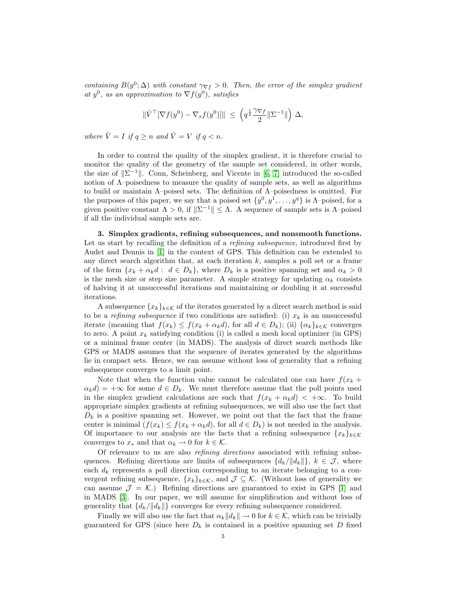containing  $B(y^0; \Delta)$  with constant  $\gamma \nabla f > 0$ . Then, the error of the simplex gradient at  $y^0$ , as an approximation to  $\nabla f(y^0)$ , satisfies

$$
\|\hat{V}^{\top}[\nabla f(y^0) - \nabla_s f(y^0)]\| \ \leq \ \left(q^{\frac{1}{2}} \frac{\gamma \nabla f}{2} \|\Sigma^{-1}\|\right) \, \Delta,
$$

where  $\hat{V} = I$  if  $q \geq n$  and  $\hat{V} = V$  if  $q < n$ .

In order to control the quality of the simplex gradient, it is therefore crucial to monitor the quality of the geometry of the sample set considered, in other words, the size of  $\|\Sigma^{-1}\|$ . Conn, Scheinberg, and Vicente in [\[6,](#page-13-11) [7\]](#page-13-9) introduced the so-called notion of Λ–poisedness to measure the quality of sample sets, as well as algorithms to build or maintain Λ–poised sets. The definition of Λ–poisedness is omitted. For the purposes of this paper, we say that a poised set  $\{y^0, y^1, \ldots, y^q\}$  is  $\Lambda$ -poised, for a given positive constant  $\Lambda > 0$ , if  $\|\Sigma^{-1}\| \leq \Lambda$ . A sequence of sample sets is  $\Lambda$ -poised if all the individual sample sets are.

<span id="page-2-0"></span>3. Simplex gradients, refining subsequences, and nonsmooth functions. Let us start by recalling the definition of a *refining subsequence*, introduced first by Audet and Dennis in [\[1\]](#page-13-0) in the context of GPS. This definition can be extended to any direct search algorithm that, at each iteration  $k$ , samples a poll set or a frame of the form  $\{x_k + \alpha_k d : d \in D_k\}$ , where  $D_k$  is a positive spanning set and  $\alpha_k > 0$ is the mesh size or step size parameter. A simple strategy for updating  $\alpha_k$  consists of halving it at unsuccessful iterations and maintaining or doubling it at successful iterations.

A subsequence  ${x_k}_{k \in \mathcal{K}}$  of the iterates generated by a direct search method is said to be a refining subsequence if two conditions are satisfied: (i)  $x_k$  is an unsuccessful iterate (meaning that  $f(x_k) \leq f(x_k + \alpha_k d)$ , for all  $d \in D_k$ ); (ii)  $\{\alpha_k\}_{k \in \mathcal{K}}$  converges to zero. A point  $x_k$  satisfying condition (i) is called a mesh local optimizer (in GPS) or a minimal frame center (in MADS). The analysis of direct search methods like GPS or MADS assumes that the sequence of iterates generated by the algorithms lie in compact sets. Hence, we can assume without loss of generality that a refining subsequence converges to a limit point.

Note that when the function value cannot be calculated one can have  $f(x_k +$  $\alpha_k d$  = + $\infty$  for some  $d \in D_k$ . We must therefore assume that the poll points used in the simplex gradient calculations are such that  $f(x_k + \alpha_k d) < +\infty$ . To build appropriate simplex gradients at refining subsequences, we will also use the fact that  $D_k$  is a positive spanning set. However, we point out that the fact that the frame center is minimal  $(f(x_k) \leq f(x_k + \alpha_k d)$ , for all  $d \in D_k$ ) is not needed in the analysis. Of importance to our analysis are the facts that a refining subsequence  ${x_k}_{k \in K}$ converges to  $x_*$  and that  $\alpha_k \to 0$  for  $k \in \mathcal{K}$ .

Of relevance to us are also refining directions associated with refining subsequences. Refining directions are limits of subsequences  ${d_k/||d_k||}$ ,  $k \in \mathcal{J}$ , where each  $d_k$  represents a poll direction corresponding to an iterate belonging to a convergent refining subsequence,  $\{x_k\}_{k\in\mathcal{K}}$ , and  $\mathcal{J}\subseteq\mathcal{K}$ . (Without loss of generality we can assume  $\mathcal{J} = \mathcal{K}$ .) Refining directions are guaranteed to exist in GPS [\[1\]](#page-13-0) and in MADS [\[3\]](#page-13-2). In our paper, we will assume for simplification and without loss of generality that  ${d_k/||d_k||}$  converges for every refining subsequence considered.

Finally we will also use the fact that  $\alpha_k ||d_k|| \to 0$  for  $k \in \mathcal{K}$ , which can be trivially guaranteed for GPS (since here  $D_k$  is contained in a positive spanning set D fixed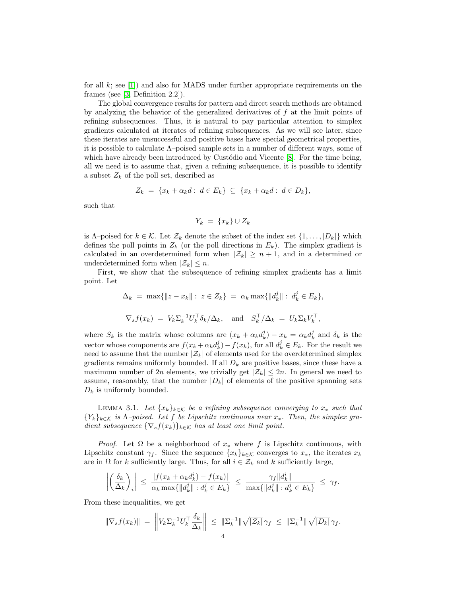for all  $k$ ; see [\[1\]](#page-13-0)) and also for MADS under further appropriate requirements on the frames (see [\[3,](#page-13-2) Definition 2.2]).

The global convergence results for pattern and direct search methods are obtained by analyzing the behavior of the generalized derivatives of  $f$  at the limit points of refining subsequences. Thus, it is natural to pay particular attention to simplex gradients calculated at iterates of refining subsequences. As we will see later, since these iterates are unsuccessful and positive bases have special geometrical properties, it is possible to calculate  $\Lambda$ –poised sample sets in a number of different ways, some of which have already been introduced by Custódio and Vicente  $[8]$ . For the time being, all we need is to assume that, given a refining subsequence, it is possible to identify a subset  $Z_k$  of the poll set, described as

$$
Z_k = \{x_k + \alpha_k d : d \in E_k\} \subseteq \{x_k + \alpha_k d : d \in D_k\},\
$$

such that

$$
Y_k = \{x_k\} \cup Z_k
$$

is Λ–poised for  $k \in \mathcal{K}$ . Let  $\mathcal{Z}_k$  denote the subset of the index set  $\{1, \ldots, |D_k|\}$  which defines the poll points in  $Z_k$  (or the poll directions in  $E_k$ ). The simplex gradient is calculated in an overdetermined form when  $|\mathcal{Z}_k| \geq n+1$ , and in a determined or underdetermined form when  $|\mathcal{Z}_k| \leq n$ .

First, we show that the subsequence of refining simplex gradients has a limit point. Let

$$
\Delta_k = \max\{\|z - x_k\| : z \in Z_k\} = \alpha_k \max\{\|d_k^j\| : d_k^j \in E_k\},
$$
  

$$
\nabla_s f(x_k) = V_k \Sigma_k^{-1} U_k^\top \delta_k / \Delta_k, \text{ and } S_k^\top / \Delta_k = U_k \Sigma_k V_k^\top,
$$

where  $S_k$  is the matrix whose columns are  $(x_k + \alpha_k d_k^j) - x_k = \alpha_k d_k^j$  and  $\delta_k$  is the vector whose components are  $f(x_k + \alpha_k d_k^j) - f(x_k)$ , for all  $d_k^j \in E_k$ . For the result we need to assume that the number  $|\mathcal{Z}_k|$  of elements used for the overdetermined simplex gradients remains uniformly bounded. If all  $D_k$  are positive bases, since these have a maximum number of 2n elements, we trivially get  $|\mathcal{Z}_k| \leq 2n$ . In general we need to assume, reasonably, that the number  $|D_k|$  of elements of the positive spanning sets  $D_k$  is uniformly bounded.

<span id="page-3-0"></span>LEMMA 3.1. Let  ${x_k}_{k \in \mathcal{K}}$  be a refining subsequence converging to  $x_*$  such that  ${Y_k}_{k \in \mathcal{K}}$  is  $\Lambda$ -poised. Let f be Lipschitz continuous near  $x_*$ . Then, the simplex gradient subsequence  $\{\nabla_s f(x_k)\}_{k\in\mathcal{K}}$  has at least one limit point.

*Proof.* Let  $\Omega$  be a neighborhood of  $x_*$  where f is Lipschitz continuous, with Lipschitz constant  $\gamma_f$ . Since the sequence  $\{x_k\}_{k\in\mathcal{K}}$  converges to  $x_*$ , the iterates  $x_k$ are in  $\Omega$  for k sufficiently large. Thus, for all  $i \in \mathcal{Z}_k$  and k sufficiently large,

$$
\left| \left( \frac{\delta_k}{\Delta_k} \right)_i \right| \leq \frac{|f(x_k + \alpha_k d_k^i) - f(x_k)|}{\alpha_k \max\{ \|d_k^j\| : d_k^j \in E_k \}} \leq \frac{\gamma_f \|d_k^i\|}{\max\{ \|d_k^j\| : d_k^j \in E_k \}} \leq \gamma_f.
$$

From these inequalities, we get

$$
\|\nabla_s f(x_k)\| = \left\| V_k \Sigma_k^{-1} U_k^{\top} \frac{\delta_k}{\Delta_k} \right\| \leq \|\Sigma_k^{-1}\| \sqrt{|\mathcal{Z}_k|} \gamma_f \leq \|\Sigma_k^{-1}\| \sqrt{|D_k|} \gamma_f.
$$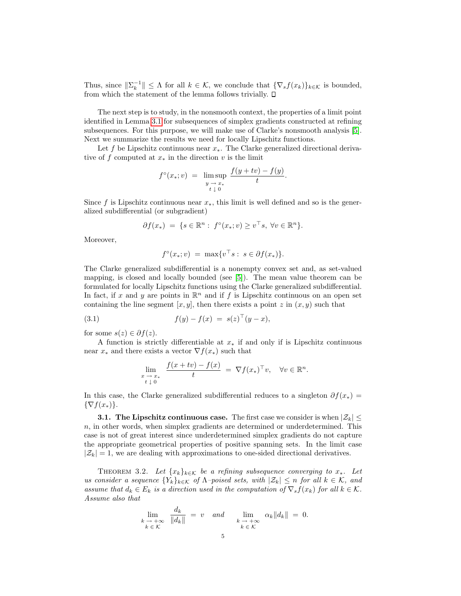Thus, since  $\|\Sigma_k^{-1}\| \leq \Lambda$  for all  $k \in \mathcal{K}$ , we conclude that  $\{\nabla_s f(x_k)\}_{k \in \mathcal{K}}$  is bounded, from which the statement of the lemma follows trivially.  $\square$ 

The next step is to study, in the nonsmooth context, the properties of a limit point identified in Lemma [3.1](#page-3-0) for subsequences of simplex gradients constructed at refining subsequences. For this purpose, we will make use of Clarke's nonsmooth analysis [\[5\]](#page-13-12). Next we summarize the results we need for locally Lipschitz functions.

Let f be Lipschitz continuous near  $x_*$ . The Clarke generalized directional derivative of f computed at  $x_*$  in the direction v is the limit

$$
f^{\circ}(x_{*}; v) = \limsup_{\substack{y \to x_{*} \\ t \downarrow 0}} \frac{f(y + tv) - f(y)}{t}.
$$

Since f is Lipschitz continuous near  $x_*$ , this limit is well defined and so is the generalized subdifferential (or subgradient)

$$
\partial f(x_*) = \{ s \in \mathbb{R}^n : f^{\circ}(x_*; v) \ge v^{\top} s, \ \forall v \in \mathbb{R}^n \}.
$$

Moreover,

$$
f^{\circ}(x_{*};v) = \max\{v^{\top}s : s \in \partial f(x_{*})\}.
$$

The Clarke generalized subdifferential is a nonempty convex set and, as set-valued mapping, is closed and locally bounded (see [\[5\]](#page-13-12)). The mean value theorem can be formulated for locally Lipschitz functions using the Clarke generalized subdifferential. In fact, if x and y are points in  $\mathbb{R}^n$  and if f is Lipschitz continuous on an open set containing the line segment  $[x, y]$ , then there exists a point z in  $(x, y)$  such that

(3.1) 
$$
f(y) - f(x) = s(z)^{\top} (y - x),
$$

for some  $s(z) \in \partial f(z)$ .

A function is strictly differentiable at  $x_*$  if and only if is Lipschitz continuous near  $x_*$  and there exists a vector  $\nabla f(x_*)$  such that

<span id="page-4-1"></span>
$$
\lim_{\substack{x \to x_* \\ t \downarrow 0}} \frac{f(x + tv) - f(x)}{t} = \nabla f(x_*)^\top v, \quad \forall v \in \mathbb{R}^n.
$$

In this case, the Clarke generalized subdifferential reduces to a singleton  $\partial f(x_*)$  =  $\{\nabla f(x_*)\}.$ 

**3.1. The Lipschitz continuous case.** The first case we consider is when  $|\mathcal{Z}_k| \leq$ n, in other words, when simplex gradients are determined or underdetermined. This case is not of great interest since underdetermined simplex gradients do not capture the appropriate geometrical properties of positive spanning sets. In the limit case  $|Z_k| = 1$ , we are dealing with approximations to one-sided directional derivatives.

<span id="page-4-0"></span>THEOREM 3.2. Let  ${x_k}_{k \in \mathcal{K}}$  be a refining subsequence converging to  $x_*$ . Let us consider a sequence  $\{Y_k\}_{k\in\mathcal{K}}$  of  $\Lambda$ -poised sets, with  $|\mathcal{Z}_k|\leq n$  for all  $k\in\mathcal{K}$ , and assume that  $d_k \in E_k$  is a direction used in the computation of  $\nabla_s f(x_k)$  for all  $k \in \mathcal{K}$ . Assume also that

$$
\lim_{\substack{k \to +\infty \\ k \in \mathcal{K}}} \frac{d_k}{\|d_k\|} = v \quad \text{and} \quad \lim_{\substack{k \to +\infty \\ k \in \mathcal{K}}} \alpha_k \|d_k\| = 0.
$$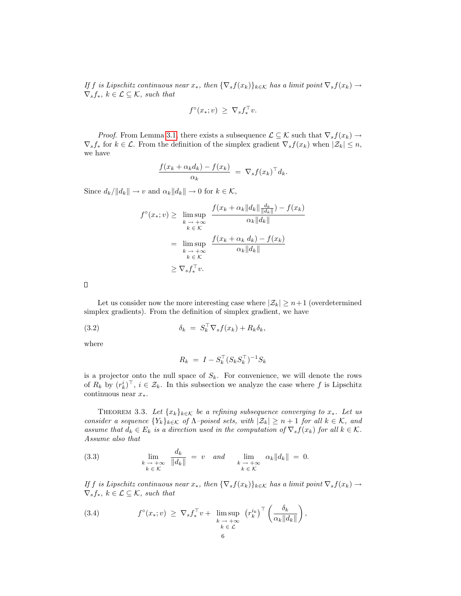If f is Lipschitz continuous near  $x_*$ , then  $\{\nabla_s f(x_k)\}_{k\in\mathcal{K}}$  has a limit point  $\nabla_s f(x_k) \to$  $\nabla_s f_*, k \in \mathcal{L} \subseteq \mathcal{K}$ , such that

$$
f^{\circ}(x_*; v) \ \geq \ \nabla_s f_*^{\top} v.
$$

*Proof.* From Lemma [3.1,](#page-3-0) there exists a subsequence  $\mathcal{L} \subseteq \mathcal{K}$  such that  $\nabla_s f(x_k) \to$  $\nabla_s f_*$  for  $k \in \mathcal{L}$ . From the definition of the simplex gradient  $\nabla_s f(x_k)$  when  $|\mathcal{Z}_k| \leq n$ , we have

$$
\frac{f(x_k + \alpha_k d_k) - f(x_k)}{\alpha_k} = \nabla_s f(x_k)^\top d_k.
$$

Since  $d_k/||d_k|| \to v$  and  $\alpha_k ||d_k|| \to 0$  for  $k \in \mathcal{K}$ ,

$$
f^{\circ}(x_{*}; v) \geq \limsup_{\substack{k \to +\infty \\ k \in \mathcal{K}}} \frac{f(x_{k} + \alpha_{k} \|d_{k}\| \frac{d_{k}}{\|d_{k}\|}) - f(x_{k})}{\alpha_{k} \|d_{k}\|}
$$
  

$$
= \limsup_{\substack{k \to +\infty \\ k \in \mathcal{K}}} \frac{f(x_{k} + \alpha_{k} d_{k}) - f(x_{k})}{\alpha_{k} \|d_{k}\|}
$$
  

$$
\geq \nabla_{s} f_{*}^{\top} v.
$$

 $\Box$ 

Let us consider now the more interesting case where  $|\mathcal{Z}_k| \geq n+1$  (overdetermined simplex gradients). From the definition of simplex gradient, we have

(3.2)  $\delta_k = S_k^{\top} \nabla_s f(x_k) + R_k \delta_k,$ 

where

<span id="page-5-0"></span>
$$
R_k = I - S_k^{\top} (S_k S_k^{\top})^{-1} S_k
$$

is a projector onto the null space of  $S_k$ . For convenience, we will denote the rows of  $R_k$  by  $(r_k^i)^\top$ ,  $i \in \mathcal{Z}_k$ . In this subsection we analyze the case where f is Lipschitz continuous near  $x_*$ .

<span id="page-5-1"></span>THEOREM 3.3. Let  ${x_k}_{k \in \mathcal{K}}$  be a refining subsequence converging to  $x_*$ . Let us consider a sequence  $\{Y_k\}_{k\in\mathcal{K}}$  of  $\Lambda$ -poised sets, with  $|\mathcal{Z}_k|\geq n+1$  for all  $k\in\mathcal{K}$ , and assume that  $d_k \in E_k$  is a direction used in the computation of  $\nabla_s f(x_k)$  for all  $k \in \mathcal{K}$ . Assume also that

<span id="page-5-3"></span>(3.3) 
$$
\lim_{\substack{k \to +\infty \\ k \in \mathcal{K}}} \frac{d_k}{\|d_k\|} = v \quad \text{and} \quad \lim_{\substack{k \to +\infty \\ k \in \mathcal{K}}} \alpha_k \|d_k\| = 0.
$$

If f is Lipschitz continuous near  $x_*$ , then  $\{\nabla_s f(x_k)\}_{k\in\mathcal{K}}$  has a limit point  $\nabla_s f(x_k) \to$  $\nabla_s f_*, k \in \mathcal{L} \subseteq \mathcal{K}$ , such that

<span id="page-5-2"></span>(3.4) 
$$
f^{\circ}(x_{*};v) \geq \nabla_{s} f_{*}^{\top} v + \limsup_{\substack{k \to +\infty \\ k \in \mathcal{L}}} (r_{k}^{i_{k}})^{\top} \left( \frac{\delta_{k}}{\alpha_{k} \|d_{k}\|} \right),
$$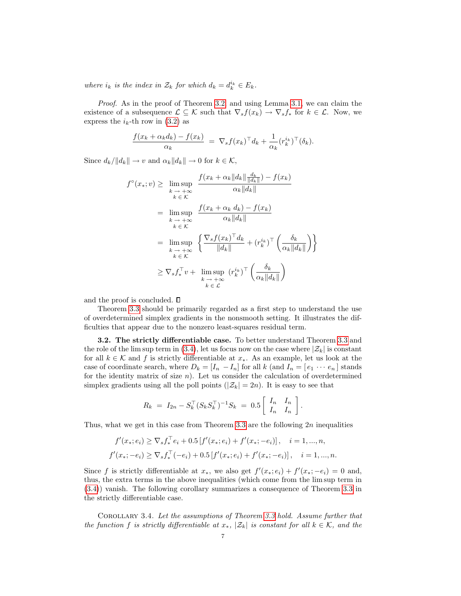where  $i_k$  is the index in  $\mathcal{Z}_k$  for which  $d_k = d_k^{i_k} \in E_k$ .

Proof. As in the proof of Theorem [3.2,](#page-4-0) and using Lemma [3.1,](#page-3-0) we can claim the existence of a subsequence  $\mathcal{L} \subseteq \mathcal{K}$  such that  $\nabla_s f(x_k) \to \nabla_s f_*$  for  $k \in \mathcal{L}$ . Now, we express the  $i_k$ -th row in [\(3.2\)](#page-5-0) as

$$
\frac{f(x_k + \alpha_k d_k) - f(x_k)}{\alpha_k} = \nabla_s f(x_k)^\top d_k + \frac{1}{\alpha_k} (r_k^{i_k})^\top (\delta_k).
$$

Since  $d_k/||d_k|| \to v$  and  $\alpha_k ||d_k|| \to 0$  for  $k \in \mathcal{K}$ ,

$$
f^{\circ}(x_{*}; v) \geq \limsup_{k \to +\infty} \frac{f(x_{k} + \alpha_{k} \|d_{k}\| \frac{d_{k}}{\|d_{k}\|}) - f(x_{k})}{\alpha_{k} \|d_{k}\|}
$$
  
\n
$$
= \limsup_{k \to +\infty} \frac{f(x_{k} + \alpha_{k} d_{k}) - f(x_{k})}{\alpha_{k} \|d_{k}\|}
$$
  
\n
$$
= \limsup_{k \to +\infty} \left\{ \frac{\nabla_{s} f(x_{k})^{\top} d_{k}}{\|d_{k}\|} + (r_{k}^{i_{k}})^{\top} \left(\frac{\delta_{k}}{\alpha_{k} \|d_{k}\|}\right) \right\}
$$
  
\n
$$
\geq \nabla_{s} f_{*}^{\top} v + \limsup_{k \to +\infty} (r_{k}^{i_{k}})^{\top} \left(\frac{\delta_{k}}{\alpha_{k} \|d_{k}\|}\right)
$$

and the proof is concluded.  $\square$ 

Theorem [3.3](#page-5-1) should be primarily regarded as a first step to understand the use of overdetermined simplex gradients in the nonsmooth setting. It illustrates the difficulties that appear due to the nonzero least-squares residual term.

3.2. The strictly differentiable case. To better understand Theorem [3.3](#page-5-1) and the role of the lim sup term in [\(3.4\)](#page-5-2), let us focus now on the case where  $|\mathcal{Z}_k|$  is constant for all  $k \in \mathcal{K}$  and f is strictly differentiable at  $x_*$ . As an example, let us look at the case of coordinate search, where  $D_k = [I_n - I_n]$  for all k (and  $I_n = [e_1 \cdots e_n]$  stands for the identity matrix of size  $n$ ). Let us consider the calculation of overdetermined simplex gradients using all the poll points  $(|z_k| = 2n)$ . It is easy to see that

$$
R_k = I_{2n} - S_k^{\top} (S_k S_k^{\top})^{-1} S_k = 0.5 \begin{bmatrix} I_n & I_n \\ I_n & I_n \end{bmatrix}.
$$

Thus, what we get in this case from Theorem [3.3](#page-5-1) are the following  $2n$  inequalities

$$
f'(x_*,e_i) \ge \nabla_s f_*^{\top} e_i + 0.5[f'(x_*;e_i) + f'(x_*; -e_i)], \quad i = 1,...,n,
$$
  

$$
f'(x_*; -e_i) \ge \nabla_s f_*^{\top}(-e_i) + 0.5[f'(x_*; e_i) + f'(x_*; -e_i)], \quad i = 1,...,n.
$$

Since f is strictly differentiable at  $x_*$ , we also get  $f'(x_*; e_i) + f'(x_*; -e_i) = 0$  and, thus, the extra terms in the above inequalities (which come from the lim sup term in [\(3.4\)](#page-5-2)) vanish. The following corollary summarizes a consequence of Theorem [3.3](#page-5-1) in the strictly differentiable case.

<span id="page-6-0"></span>Corollary 3.4. Let the assumptions of Theorem [3.3](#page-5-1) hold. Assume further that the function f is strictly differentiable at  $x_*$ ,  $|\mathcal{Z}_k|$  is constant for all  $k \in \mathcal{K}$ , and the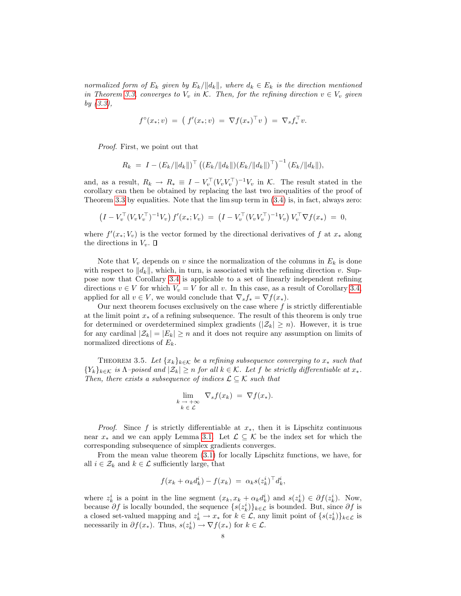normalized form of  $E_k$  given by  $E_k/||d_k||$ , where  $d_k \in E_k$  is the direction mentioned in Theorem [3.3,](#page-5-1) converges to  $V_v$  in K. Then, for the refining direction  $v \in V_v$  given by [\(3.3\)](#page-5-3),

$$
f^{\circ}(x_{*};v) = (f'(x_{*};v) = \nabla f(x_{*})^{\top} v) = \nabla_{s} f_{*}^{\top} v.
$$

Proof. First, we point out that

$$
R_k = I - (E_k / ||d_k||)^{\top} ((E_k / ||d_k||) (E_k / ||d_k||)^{\top})^{-1} (E_k / ||d_k||),
$$

and, as a result,  $R_k \to R_* \equiv I - V_v^{\top} (V_v V_v^{\top})^{-1} V_v$  in K. The result stated in the corollary can then be obtained by replacing the last two inequalities of the proof of Theorem [3.3](#page-5-1) by equalities. Note that the lim sup term in [\(3.4\)](#page-5-2) is, in fact, always zero:

$$
\left(I - V_v^{\top} (V_v V_v^{\top})^{-1} V_v\right) f'(x_*; V_v) = \left(I - V_v^{\top} (V_v V_v^{\top})^{-1} V_v\right) V_v^{\top} \nabla f(x_*) = 0,
$$

where  $f'(x_*)$  is the vector formed by the directional derivatives of f at  $x_*$  along the directions in  $V_v$ .  $\square$ 

Note that  $V_v$  depends on v since the normalization of the columns in  $E_k$  is done with respect to  $||d_k||$ , which, in turn, is associated with the refining direction v. Suppose now that Corollary [3.4](#page-6-0) is applicable to a set of linearly independent refining directions  $v \in V$  for which  $V_v = V$  for all v. In this case, as a result of Corollary [3.4,](#page-6-0) applied for all  $v \in V$ , we would conclude that  $\nabla_s f_* = \nabla f(x_*)$ .

Our next theorem focuses exclusively on the case where  $f$  is strictly differentiable at the limit point  $x_*$  of a refining subsequence. The result of this theorem is only true for determined or overdetermined simplex gradients  $(|z_k| \geq n)$ . However, it is true for any cardinal  $|\mathcal{Z}_k| = |E_k| \geq n$  and it does not require any assumption on limits of normalized directions of  $E_k$ .

<span id="page-7-0"></span>THEOREM 3.5. Let  ${x_k}_{k \in K}$  be a refining subsequence converging to  $x_*$  such that  ${Y_k}_{k \in \mathcal{K}}$  is  $\Lambda$ -poised and  $|\mathcal{Z}_k| \geq n$  for all  $k \in \mathcal{K}$ . Let f be strictly differentiable at  $x_*$ . Then, there exists a subsequence of indices  $\mathcal{L} \subseteq \mathcal{K}$  such that

$$
\lim_{\substack{k \to +\infty \\ k \in \mathcal{L}}} \nabla_s f(x_k) = \nabla f(x_*).
$$

*Proof.* Since f is strictly differentiable at  $x_*$ , then it is Lipschitz continuous near  $x_*$  and we can apply Lemma [3.1.](#page-3-0) Let  $\mathcal{L} \subseteq \mathcal{K}$  be the index set for which the corresponding subsequence of simplex gradients converges.

From the mean value theorem [\(3.1\)](#page-4-1) for locally Lipschitz functions, we have, for all  $i \in \mathcal{Z}_k$  and  $k \in \mathcal{L}$  sufficiently large, that

$$
f(x_k + \alpha_k d_k^i) - f(x_k) = \alpha_k s(z_k^i)^\top d_k^i,
$$

where  $z_k^i$  is a point in the line segment  $(x_k, x_k + \alpha_k d_k^i)$  and  $s(z_k^i) \in \partial f(z_k^i)$ . Now, because  $\partial f$  is locally bounded, the sequence  $\{s(z_k^i)\}_{k\in\mathcal{L}}$  is bounded. But, since  $\partial f$  is a closed set-valued mapping and  $z_k^i \to x_*$  for  $k \in \mathcal{L}$ , any limit point of  $\{s(z_k^i)\}_{k \in \mathcal{L}}$  is necessarily in  $\partial f(x_*)$ . Thus,  $s(z_k^i) \to \nabla f(x_*)$  for  $k \in \mathcal{L}$ .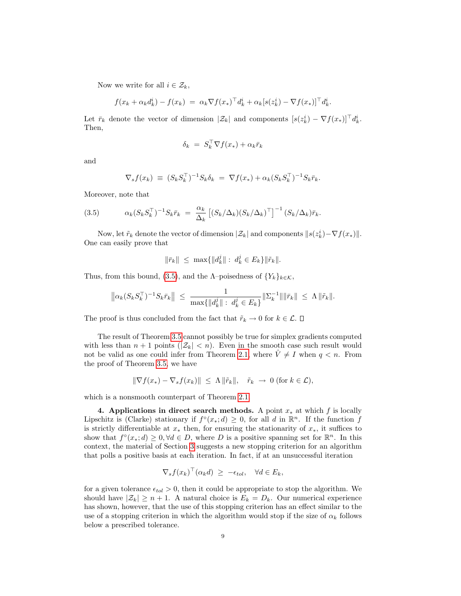Now we write for all  $i \in \mathcal{Z}_k$ ,

$$
f(x_k + \alpha_k d_k^i) - f(x_k) = \alpha_k \nabla f(x_*)^\top d_k^i + \alpha_k [s(z_k^i) - \nabla f(x_*)]^\top d_k^i
$$

.

Let  $\bar{r}_k$  denote the vector of dimension  $|\mathcal{Z}_k|$  and components  $[s(z_k^i) - \nabla f(x_*)]^\top d_k^i$ . Then,

$$
\delta_k = S_k^{\top} \nabla f(x_*) + \alpha_k \bar{r}_k
$$

and

<span id="page-8-1"></span>
$$
\nabla_s f(x_k) \equiv (S_k S_k^{\top})^{-1} S_k \delta_k = \nabla f(x_*) + \alpha_k (S_k S_k^{\top})^{-1} S_k \bar{r}_k.
$$

Moreover, note that

(3.5) 
$$
\alpha_k (S_k S_k^{\top})^{-1} S_k \bar{r}_k = \frac{\alpha_k}{\Delta_k} \left[ (S_k / \Delta_k) (S_k / \Delta_k)^{\top} \right]^{-1} (S_k / \Delta_k) \bar{r}_k.
$$

Now, let  $\tilde{r}_k$  denote the vector of dimension  $|\mathcal{Z}_k|$  and components  $||s(z_k^i)-\nabla f(x_*)||$ . One can easily prove that

$$
\|\bar{r}_k\| \ \leq \ \max\{\|d_k^j\|: \ d_k^j \in E_k\}\|\tilde{r}_k\|.
$$

Thus, from this bound, [\(3.5\)](#page-8-1), and the  $\Lambda$ –poisedness of  $\{Y_k\}_{k\in\mathcal{K}}$ ,

$$
\left\| \alpha_k (S_k S_k^\top)^{-1} S_k \bar{r}_k \right\| \ \leq \ \frac{1}{\max\{ \|d_k^j\| \ : \ d_k^j \in E_k \}} \| \Sigma_k^{-1} \| \|\bar{r}_k\| \ \leq \ \Lambda \, \|\tilde{r}_k\|.
$$

The proof is thus concluded from the fact that  $\tilde{r}_k \to 0$  for  $k \in \mathcal{L}$ .  $\square$ 

The result of Theorem [3.5](#page-7-0) cannot possibly be true for simplex gradients computed with less than  $n + 1$  points  $(|z_k| < n)$ . Even in the smooth case such result would not be valid as one could infer from Theorem [2.1,](#page-1-2) where  $\hat{V} \neq I$  when  $q < n$ . From the proof of Theorem [3.5,](#page-7-0) we have

$$
\|\nabla f(x_*) - \nabla_s f(x_k)\| \le \Lambda \|\tilde{r}_k\|, \quad \tilde{r}_k \to 0 \text{ (for } k \in \mathcal{L}),
$$

which is a nonsmooth counterpart of Theorem [2.1.](#page-1-2)

<span id="page-8-0"></span>4. Applications in direct search methods. A point  $x_*$  at which f is locally Lipschitz is (Clarke) stationary if  $f^{\circ}(x_*,d) \geq 0$ , for all d in  $\mathbb{R}^n$ . If the function f is strictly differentiable at  $x_*$  then, for ensuring the stationarity of  $x_*,$  it suffices to show that  $f^{\circ}(x_*) \geq 0, \forall d \in D$ , where D is a positive spanning set for  $\mathbb{R}^n$ . In this context, the material of Section [3](#page-2-0) suggests a new stopping criterion for an algorithm that polls a positive basis at each iteration. In fact, if at an unsuccessful iteration

$$
\nabla_s f(x_k)^\top (\alpha_k d) \ge -\epsilon_{tol}, \quad \forall d \in E_k,
$$

for a given tolerance  $\epsilon_{tol} > 0$ , then it could be appropriate to stop the algorithm. We should have  $|\mathcal{Z}_k| \geq n+1$ . A natural choice is  $E_k = D_k$ . Our numerical experience has shown, however, that the use of this stopping criterion has an effect similar to the use of a stopping criterion in which the algorithm would stop if the size of  $\alpha_k$  follows below a prescribed tolerance.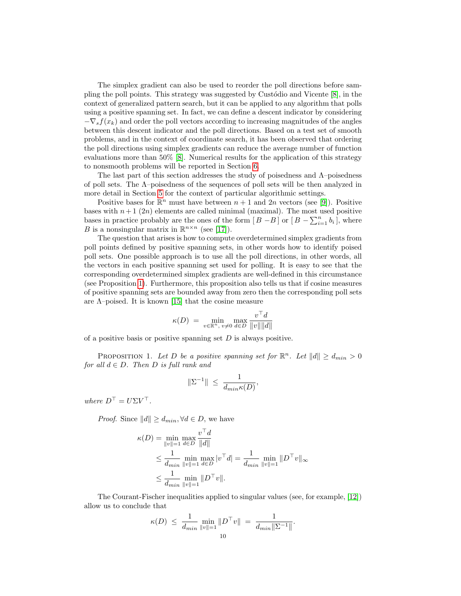The simplex gradient can also be used to reorder the poll directions before sampling the poll points. This strategy was suggested by Custôdio and Vicente  $[8]$ , in the context of generalized pattern search, but it can be applied to any algorithm that polls using a positive spanning set. In fact, we can define a descent indicator by considering  $-\nabla_s f(x_k)$  and order the poll vectors according to increasing magnitudes of the angles between this descent indicator and the poll directions. Based on a test set of smooth problems, and in the context of coordinate search, it has been observed that ordering the poll directions using simplex gradients can reduce the average number of function evaluations more than 50% [\[8\]](#page-13-8). Numerical results for the application of this strategy to nonsmooth problems will be reported in Section [6.](#page-11-0)

The last part of this section addresses the study of poisedness and Λ–poisedness of poll sets. The Λ–poisedness of the sequences of poll sets will be then analyzed in more detail in Section [5](#page-10-0) for the context of particular algorithmic settings.

Positive bases for  $\mathbb{R}^n$  must have between  $n+1$  and  $2n$  vectors (see [\[9\]](#page-13-13)). Positive bases with  $n+1$  (2n) elements are called minimal (maximal). The most used positive bases in practice probably are the ones of the form  $[B - B]$  or  $[B - \sum_{i=1}^{n} b_i]$ , where B is a nonsingular matrix in  $\mathbb{R}^{n \times n}$  (see [\[17\]](#page-13-14)).

The question that arises is how to compute overdetermined simplex gradients from poll points defined by positive spanning sets, in other words how to identify poised poll sets. One possible approach is to use all the poll directions, in other words, all the vectors in each positive spanning set used for polling. It is easy to see that the corresponding overdetermined simplex gradients are well-defined in this circumstance (see Proposition [1\)](#page-9-0). Furthermore, this proposition also tells us that if cosine measures of positive spanning sets are bounded away from zero then the corresponding poll sets are  $\Lambda$ -poised. It is known [\[15\]](#page-13-3) that the cosine measure

$$
\kappa(D) = \min_{v \in \mathbb{R}^n, v \neq 0} \max_{d \in D} \frac{v^\top d}{\|v\| \|d\|}
$$

of a positive basis or positive spanning set  $D$  is always positive.

<span id="page-9-0"></span>PROPOSITION 1. Let D be a positive spanning set for  $\mathbb{R}^n$ . Let  $||d|| \geq d_{min} > 0$ for all  $d \in D$ . Then D is full rank and

$$
\|\Sigma^{-1}\|\ \leq\ \frac{1}{d_{min}\kappa(D)},
$$

where  $D^{\top} = U \Sigma V^{\top}$ .

*Proof.* Since  $||d|| \ge d_{min}$ ,  $\forall d \in D$ , we have

$$
\kappa(D) = \min_{\|v\|=1} \max_{d \in D} \frac{v^{\top} d}{\|d\|}
$$
  
\n
$$
\leq \frac{1}{d_{\min}} \min_{\|v\|=1} \max_{d \in D} |v^{\top} d| = \frac{1}{d_{\min}} \min_{\|v\|=1} \|D^{\top} v\|_{\infty}
$$
  
\n
$$
\leq \frac{1}{d_{\min}} \min_{\|v\|=1} \|D^{\top} v\|.
$$

The Courant-Fischer inequalities applied to singular values (see, for example, [\[12\]](#page-13-15)) allow us to conclude that

$$
\kappa(D) \ \leq \ \frac{1}{d_{min}} \min_{\|v\|=1} \|D^{\top}v\| \ = \ \frac{1}{d_{min} \|\Sigma^{-1}\|}.
$$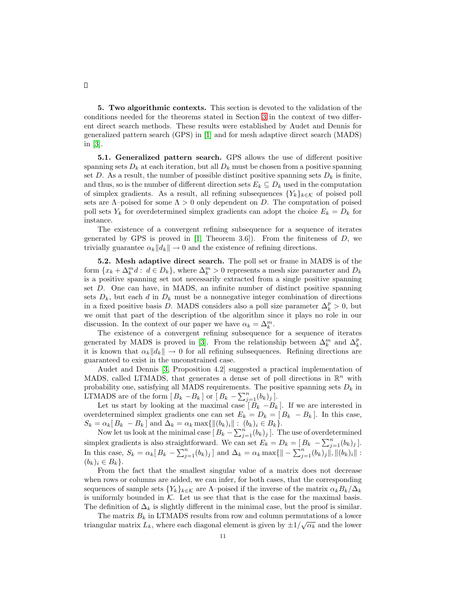<span id="page-10-0"></span>5. Two algorithmic contexts. This section is devoted to the validation of the conditions needed for the theorems stated in Section [3](#page-2-0) in the context of two different direct search methods. These results were established by Audet and Dennis for generalized pattern search (GPS) in [\[1\]](#page-13-0) and for mesh adaptive direct search (MADS) in [\[3\]](#page-13-2).

5.1. Generalized pattern search. GPS allows the use of different positive spanning sets  $D_k$  at each iteration, but all  $D_k$  must be chosen from a positive spanning set D. As a result, the number of possible distinct positive spanning sets  $D_k$  is finite, and thus, so is the number of different direction sets  $E_k \subseteq D_k$  used in the computation of simplex gradients. As a result, all refining subsequences  $\{Y_k\}_{k\in\mathcal{K}}$  of poised poll sets are  $\Lambda$ -poised for some  $\Lambda > 0$  only dependent on D. The computation of poised poll sets  $Y_k$  for overdetermined simplex gradients can adopt the choice  $E_k = D_k$  for instance.

The existence of a convergent refining subsequence for a sequence of iterates generated by GPS is proved in  $[1,$  Theorem 3.6]). From the finiteness of  $D$ , we trivially guarantee  $\alpha_k ||d_k|| \to 0$  and the existence of refining directions.

5.2. Mesh adaptive direct search. The poll set or frame in MADS is of the form  $\{x_k + \Delta_k^m d : d \in D_k\}$ , where  $\Delta_k^m > 0$  represents a mesh size parameter and  $D_k$ is a positive spanning set not necessarily extracted from a single positive spanning set D. One can have, in MADS, an infinite number of distinct positive spanning sets  $D_k$ , but each d in  $D_k$  must be a nonnegative integer combination of directions in a fixed positive basis D. MADS considers also a poll size parameter  $\Delta_k^p > 0$ , but we omit that part of the description of the algorithm since it plays no role in our discussion. In the context of our paper we have  $\alpha_k = \Delta_k^m$ .

The existence of a convergent refining subsequence for a sequence of iterates generated by MADS is proved in [\[3\]](#page-13-2). From the relationship between  $\Delta_k^m$  and  $\Delta_k^p$ , it is known that  $\alpha_k || d_k || \rightarrow 0$  for all refining subsequences. Refining directions are guaranteed to exist in the unconstrained case.

Audet and Dennis [\[3,](#page-13-2) Proposition 4.2] suggested a practical implementation of MADS, called LTMADS, that generates a dense set of poll directions in  $\mathbb{R}^n$  with probability one, satisfying all MADS requirements. The positive spanning sets  $D_k$  in LTMADS are of the form  $[B_k - B_k]$  or  $[B_k - \sum_{j=1}^n (b_k)_j]$ .

Let us start by looking at the maximal case  $[\overline{B}_k - B_k]$ . If we are interested in overdetermined simplex gradients one can set  $E_k = D_k = [B_k - B_k]$ . In this case,  $S_k = \alpha_k [B_k - B_k]$  and  $\Delta_k = \alpha_k \max{\{\|(b_k)_i\| : (b_k)_i \in B_k\}}$ .

Now let us look at the minimal case  $[B_k - \sum_{j=1}^n (b_k)_j ]$ . The use of overdetermined simplex gradients is also straightforward. We can set  $E_k = D_k = [B_k - \sum_{j=1}^n (b_k)_j].$ In this case,  $S_k = \alpha_k [B_k - \sum_{j=1}^n (b_k)_j ]$  and  $\Delta_k = \alpha_k \max\{ \| - \sum_{j=1}^n (b_k)_j \|, \| (b_k)_i \|$ :  $(b_k)_i \in B_k$ .

From the fact that the smallest singular value of a matrix does not decrease when rows or columns are added, we can infer, for both cases, that the corresponding sequences of sample sets  ${Y_k}_{k \in \mathcal{K}}$  are  $\Lambda$ –poised if the inverse of the matrix  $\alpha_k B_k/\Delta_k$ is uniformly bounded in  $K$ . Let us see that that is the case for the maximal basis. The definition of  $\Delta_k$  is slightly different in the minimal case, but the proof is similar.

The matrix  $B_k$  in LTMADS results from row and column permutations of a lower The matrix  $L_k$ , where each diagonal element is given by  $\pm 1/\sqrt{\alpha_k}$  and the lower<br>triangular matrix  $L_k$ , where each diagonal element is given by  $\pm 1/\sqrt{\alpha_k}$  and the lower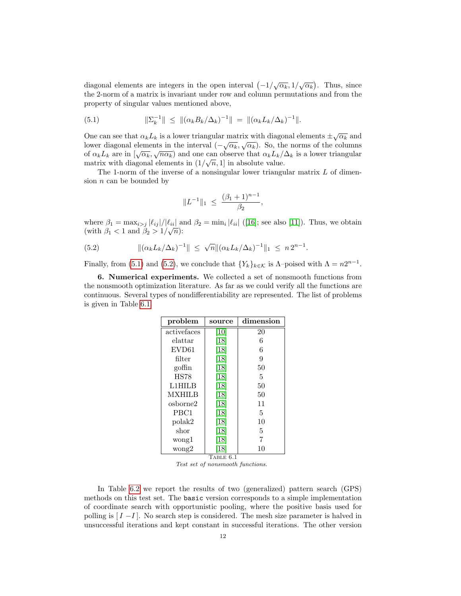diagonal elements are integers in the open interval  $\left(-1/\sqrt{\alpha_k}, 1/\sqrt{\alpha_k}\right)$ . Thus, since the 2-norm of a matrix is invariant under row and column permutations and from the property of singular values mentioned above,

<span id="page-11-1"></span>(5.1) 
$$
\|\Sigma_k^{-1}\| \leq \|(\alpha_k B_k/\Delta_k)^{-1}\| = \|(\alpha_k L_k/\Delta_k)^{-1}\|.
$$

One can see that  $\alpha_k L_k$  is a lower triangular matrix with diagonal elements  $\pm \sqrt{\alpha_k}$  and lower diagonal elements in the interval  $\left(-\sqrt{\alpha_k}, \sqrt{\alpha_k}\right)$ . So, the norms of the columns bower diagonal elements in the interval  $(-\sqrt{\alpha_k}, \sqrt{\alpha_k})$ . So, the norms of the columns<br>of  $\alpha_k L_k$  are in  $[\sqrt{\alpha_k}, \sqrt{n\alpha_k})$  and one can observe that  $\alpha_k L_k/\Delta_k$  is a lower triangular matrix with diagonal elements in  $(1/\sqrt{n}, 1]$  in absolute value.

The 1-norm of the inverse of a nonsingular lower triangular matrix  $L$  of dimension  $n$  can be bounded by

$$
||L^{-1}||_1 \ \leq \ \frac{(\beta_1 + 1)^{n-1}}{\beta_2},
$$

where  $\beta_1 = \max_{i > j} |\ell_{ij}|/|\ell_{ii}|$  and  $\beta_2 = \min_i |\ell_{ii}|$  ([\[16\]](#page-13-16); see also [\[11\]](#page-13-17)). Thus, we obtain (with  $\beta_1 < 1$  and  $\beta_2 > 1/\sqrt{n}$ ):

<span id="page-11-2"></span>(5.2) 
$$
\|(\alpha_k L_k/\Delta_k)^{-1}\| \leq \sqrt{n} \|(\alpha_k L_k/\Delta_k)^{-1}\|_1 \leq n 2^{n-1}.
$$

Finally, from [\(5.1\)](#page-11-1) and [\(5.2\)](#page-11-2), we conclude that  $\{Y_k\}_{k \in \mathcal{K}}$  is  $\Lambda$ -poised with  $\Lambda = n2^{n-1}$ .

<span id="page-11-0"></span>6. Numerical experiments. We collected a set of nonsmooth functions from the nonsmooth optimization literature. As far as we could verify all the functions are continuous. Several types of nondifferentiability are represented. The list of problems is given in Table [6.1.](#page-11-3)

| problem           | ${\rm dimension}$<br>source |    |  |  |  |  |
|-------------------|-----------------------------|----|--|--|--|--|
| activefaces       | $\left\vert 10\right\vert$  | 20 |  |  |  |  |
| elattar           | [18]                        | 6  |  |  |  |  |
| EVD <sub>61</sub> | [18]                        | 6  |  |  |  |  |
| filter            | [18]                        | 9  |  |  |  |  |
| goffin            | [18]                        | 50 |  |  |  |  |
| <b>HS78</b>       | [18]                        | 5  |  |  |  |  |
| L1HILB            | [18]                        | 50 |  |  |  |  |
| <b>MXHILB</b>     | [18]                        | 50 |  |  |  |  |
| osborne2          | [18]                        | 11 |  |  |  |  |
| PBC1              | [18]                        | 5  |  |  |  |  |
| polak2            | [18]                        | 10 |  |  |  |  |
| shor              | [18]                        | 5  |  |  |  |  |
| wong1             | [18]                        | 7  |  |  |  |  |
| wong2             | [18]                        | 10 |  |  |  |  |
| TABLE<br>6.1      |                             |    |  |  |  |  |

<span id="page-11-3"></span>Test set of nonsmooth functions.

In Table [6.2](#page-12-1) we report the results of two (generalized) pattern search (GPS) methods on this test set. The basic version corresponds to a simple implementation of coordinate search with opportunistic pooling, where the positive basis used for polling is  $[I - I]$ . No search step is considered. The mesh size parameter is halved in unsuccessful iterations and kept constant in successful iterations. The other version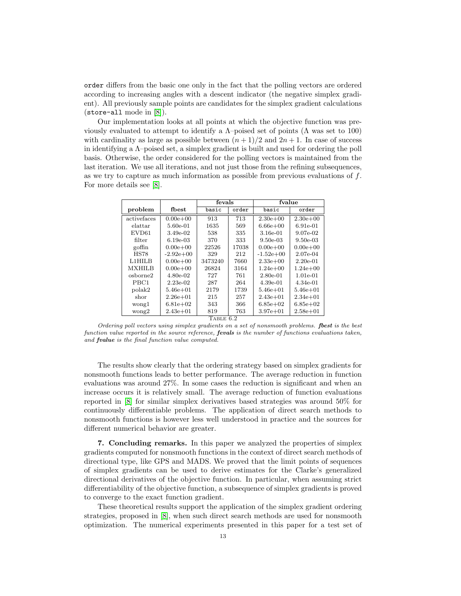order differs from the basic one only in the fact that the polling vectors are ordered according to increasing angles with a descent indicator (the negative simplex gradient). All previously sample points are candidates for the simplex gradient calculations (store-all mode in [\[8\]](#page-13-8)).

Our implementation looks at all points at which the objective function was previously evaluated to attempt to identify a  $\Lambda$ –poised set of points ( $\Lambda$  was set to 100) with cardinality as large as possible between  $(n+1)/2$  and  $2n+1$ . In case of success in identifying a  $\Lambda$ -poised set, a simplex gradient is built and used for ordering the poll basis. Otherwise, the order considered for the polling vectors is maintained from the last iteration. We use all iterations, and not just those from the refining subsequences, as we try to capture as much information as possible from previous evaluations of  $f$ . For more details see [\[8\]](#page-13-8).

|                  |              | fevals  |       | fvalue       |              |
|------------------|--------------|---------|-------|--------------|--------------|
| problem          | fbest        | basic   | order | basic        | order        |
| activefaces      | $0.00e + 00$ | 913     | 713   | $2.30e + 00$ | $2.30e + 00$ |
| $_{\rm elattar}$ | 5.60e-01     | 1635    | 569   | $6.66e + 00$ | 6.91e-01     |
| EVD61            | 3.49e-02     | 538     | 335   | 3.16e-01     | 9.07e-02     |
| filter           | $6.19e-0.3$  | 370     | 333   | $9.50e-0.3$  | $9.50e-03$   |
| goffin           | $0.00e + 00$ | 22526   | 17038 | $0.00e + 00$ | $0.00e + 00$ |
| <b>HS78</b>      | $-2.92e+0.0$ | 329     | 212   | $-1.52e+00$  | 2.07e-04     |
| L1HILB           | $0.00e + 00$ | 3473240 | 7660  | $2.33e+00$   | $2.20e-01$   |
| <b>MXHILB</b>    | $0.00e + 00$ | 26824   | 3164  | $1.24e+00$   | $1.24e+00$   |
| osborne2         | 4.80e-02     | 727     | 761   | $2.80e-01$   | $1.01e-01$   |
| PBC1             | $2.23e-02$   | 287     | 264   | $4.39e-01$   | 4.34e-01     |
| polak2           | $5.46e + 01$ | 2179    | 1739  | $5.46e + 01$ | $5.46e + 01$ |
| shor             | $2.26e + 01$ | 215     | 257   | $2.43e + 01$ | $2.34e + 01$ |
| wong1            | $6.81e+0.2$  | 343     | 366   | $6.85e+02$   | $6.85e+02$   |
| wong2            | $2.43e + 01$ | 819     | 763   | $3.97e + 01$ | $2.58e + 01$ |

 $T$ ABLE 6.2

<span id="page-12-1"></span>Ordering poll vectors using simplex gradients on a set of nonsmooth problems. fbest is the best function value reported in the source reference, **fevals** is the number of functions evaluations taken, and fvalue is the final function value computed.

The results show clearly that the ordering strategy based on simplex gradients for nonsmooth functions leads to better performance. The average reduction in function evaluations was around 27%. In some cases the reduction is significant and when an increase occurs it is relatively small. The average reduction of function evaluations reported in [\[8\]](#page-13-8) for similar simplex derivatives based strategies was around 50% for continuously differentiable problems. The application of direct search methods to nonsmooth functions is however less well understood in practice and the sources for different numerical behavior are greater.

<span id="page-12-0"></span>7. Concluding remarks. In this paper we analyzed the properties of simplex gradients computed for nonsmooth functions in the context of direct search methods of directional type, like GPS and MADS. We proved that the limit points of sequences of simplex gradients can be used to derive estimates for the Clarke's generalized directional derivatives of the objective function. In particular, when assuming strict differentiability of the objective function, a subsequence of simplex gradients is proved to converge to the exact function gradient.

These theoretical results support the application of the simplex gradient ordering strategies, proposed in [\[8\]](#page-13-8), when such direct search methods are used for nonsmooth optimization. The numerical experiments presented in this paper for a test set of